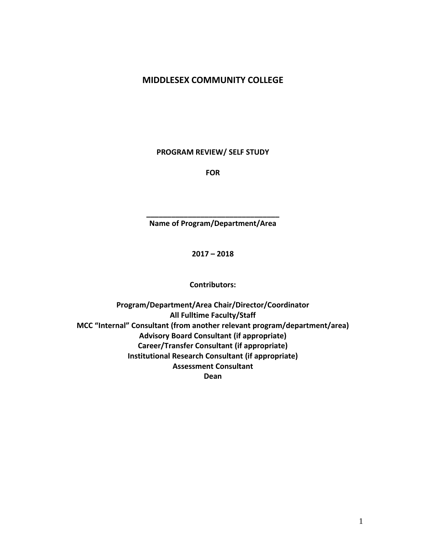# **MIDDLESEX COMMUNITY COLLEGE**

**PROGRAM REVIEW/ SELF STUDY**

**FOR**

**\_\_\_\_\_\_\_\_\_\_\_\_\_\_\_\_\_\_\_\_\_\_\_\_\_\_\_\_\_\_\_\_ Name of Program/Department/Area**

**2017 – 2018**

**Contributors:**

**Program/Department/Area Chair/Director/Coordinator All Fulltime Faculty/Staff MCC "Internal" Consultant (from another relevant program/department/area) Advisory Board Consultant (if appropriate) Career/Transfer Consultant (if appropriate) Institutional Research Consultant (if appropriate) Assessment Consultant Dean**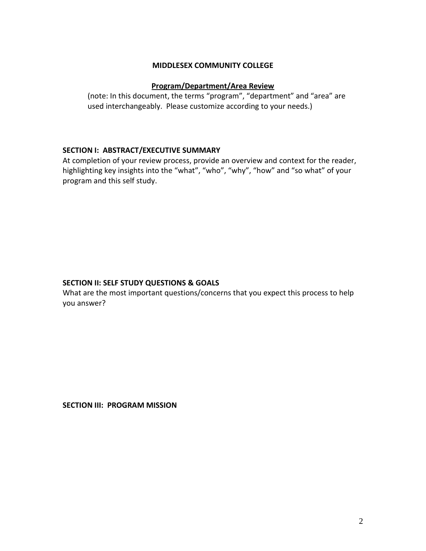## **MIDDLESEX COMMUNITY COLLEGE**

### **Program/Department/Area Review**

(note: In this document, the terms "program", "department" and "area" are used interchangeably. Please customize according to your needs.)

#### **SECTION I: ABSTRACT/EXECUTIVE SUMMARY**

At completion of your review process, provide an overview and context for the reader, highlighting key insights into the "what", "who", "why", "how" and "so what" of your program and this self study.

## **SECTION II: SELF STUDY QUESTIONS & GOALS**

What are the most important questions/concerns that you expect this process to help you answer?

**SECTION III: PROGRAM MISSION**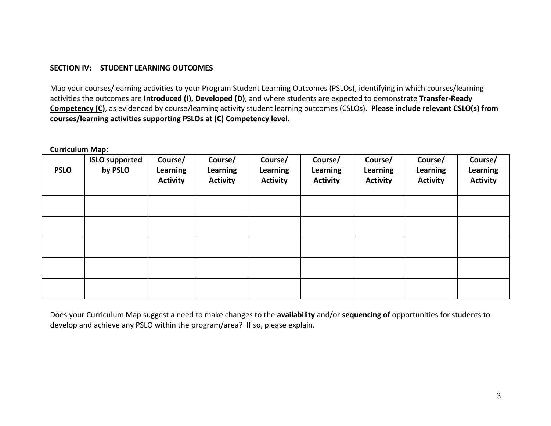### **SECTION IV: STUDENT LEARNING OUTCOMES**

Map your courses/learning activities to your Program Student Learning Outcomes (PSLOs), identifying in which courses/learning activities the outcomes are **Introduced (I), Developed (D)**, and where students are expected to demonstrate **Transfer-Ready Competency (C)**, as evidenced by course/learning activity student learning outcomes (CSLOs). **Please include relevant CSLO(s) from courses/learning activities supporting PSLOs at (C) Competency level.** 

**Curriculum Map:**

| <b>PSLO</b> | <b>ISLO supported</b><br>by PSLO | Course/<br>Learning<br><b>Activity</b> | Course/<br><b>Learning</b><br><b>Activity</b> | Course/<br>Learning<br><b>Activity</b> | Course/<br><b>Learning</b><br><b>Activity</b> | Course/<br><b>Learning</b><br><b>Activity</b> | Course/<br>Learning<br><b>Activity</b> | Course/<br>Learning<br><b>Activity</b> |
|-------------|----------------------------------|----------------------------------------|-----------------------------------------------|----------------------------------------|-----------------------------------------------|-----------------------------------------------|----------------------------------------|----------------------------------------|
|             |                                  |                                        |                                               |                                        |                                               |                                               |                                        |                                        |
|             |                                  |                                        |                                               |                                        |                                               |                                               |                                        |                                        |
|             |                                  |                                        |                                               |                                        |                                               |                                               |                                        |                                        |
|             |                                  |                                        |                                               |                                        |                                               |                                               |                                        |                                        |
|             |                                  |                                        |                                               |                                        |                                               |                                               |                                        |                                        |

Does your Curriculum Map suggest a need to make changes to the **availability** and/or **sequencing of** opportunities for students to develop and achieve any PSLO within the program/area? If so, please explain.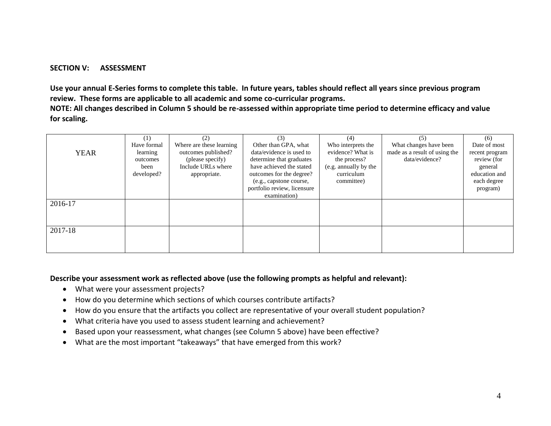#### **SECTION V: ASSESSMENT**

**Use your annual E-Series forms to complete this table. In future years, tables should reflect all years since previous program review. These forms are applicable to all academic and some co-curricular programs.**

**NOTE: All changes described in Column 5 should be re-assessed within appropriate time period to determine efficacy and value for scaling.**

|             | (1)         | (2)                      | (3)                         | (4)                   | (5)                           | (6)            |
|-------------|-------------|--------------------------|-----------------------------|-----------------------|-------------------------------|----------------|
|             | Have formal | Where are these learning | Other than GPA, what        | Who interprets the    | What changes have been        | Date of most   |
| <b>YEAR</b> | learning    | outcomes published?      | data/evidence is used to    | evidence? What is     | made as a result of using the | recent program |
|             | outcomes    | (please specify)         | determine that graduates    | the process?          | data/evidence?                | review (for    |
|             | been        | Include URLs where       | have achieved the stated    | (e.g. annually by the |                               | general        |
|             | developed?  | appropriate.             | outcomes for the degree?    | curriculum            |                               | education and  |
|             |             |                          | (e.g., capstone course,     | committee)            |                               | each degree    |
|             |             |                          | portfolio review, licensure |                       |                               | program)       |
|             |             |                          | examination)                |                       |                               |                |
| 2016-17     |             |                          |                             |                       |                               |                |
|             |             |                          |                             |                       |                               |                |
|             |             |                          |                             |                       |                               |                |
| 2017-18     |             |                          |                             |                       |                               |                |
|             |             |                          |                             |                       |                               |                |
|             |             |                          |                             |                       |                               |                |
|             |             |                          |                             |                       |                               |                |

#### **Describe your assessment work as reflected above (use the following prompts as helpful and relevant):**

- What were your assessment projects?
- How do you determine which sections of which courses contribute artifacts?
- How do you ensure that the artifacts you collect are representative of your overall student population?
- What criteria have you used to assess student learning and achievement?
- Based upon your reassessment, what changes (see Column 5 above) have been effective?
- What are the most important "takeaways" that have emerged from this work?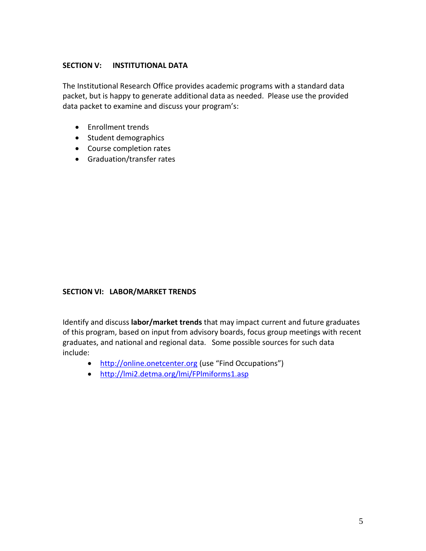## **SECTION V: INSTITUTIONAL DATA**

The Institutional Research Office provides academic programs with a standard data packet, but is happy to generate additional data as needed. Please use the provided data packet to examine and discuss your program's:

- Enrollment trends
- Student demographics
- Course completion rates
- Graduation/transfer rates

## **SECTION VI: LABOR/MARKET TRENDS**

Identify and discuss **labor/market trends** that may impact current and future graduates of this program, based on input from advisory boards, focus group meetings with recent graduates, and national and regional data. Some possible sources for such data include:

- [http://online.onetcenter.org](http://online.onetcenter.org/) (use "Find Occupations")
- <http://lmi2.detma.org/lmi/FPlmiforms1.asp>